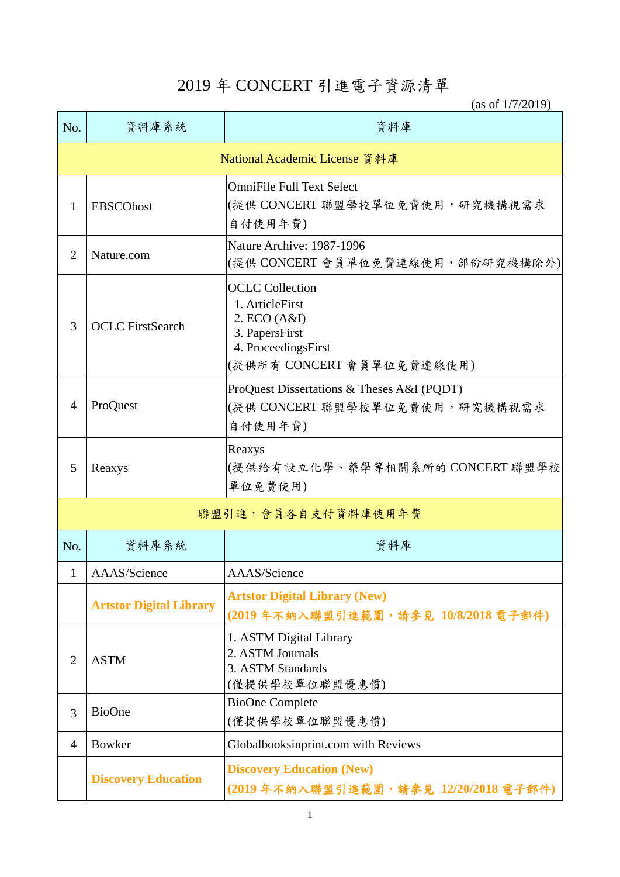## 2019 年 CONCERT 引進電子資源清單

(as of 1/7/2019)

| No.                           | 資料庫系統                          | 資料庫                                                                                                                             |  |  |
|-------------------------------|--------------------------------|---------------------------------------------------------------------------------------------------------------------------------|--|--|
| National Academic License 資料庫 |                                |                                                                                                                                 |  |  |
| 1                             | <b>EBSCOhost</b>               | <b>OmniFile Full Text Select</b><br> (提供 CONCERT 聯盟學校單位免費使用, 研究機構視需求<br>自付使用年費)                                                 |  |  |
| $\overline{2}$                | Nature.com                     | Nature Archive: 1987-1996<br>(提供 CONCERT 會員單位免費連線使用,部份研究機構除外)                                                                   |  |  |
| 3                             | <b>OCLC</b> FirstSearch        | <b>OCLC</b> Collection<br>1. ArticleFirst<br>2. ECO (A&I)<br>3. PapersFirst<br>4. ProceedingsFirst<br>(提供所有 CONCERT 會員單位免費連線使用) |  |  |
| $\overline{4}$                | ProQuest                       | ProQuest Dissertations & Theses A&I (PQDT)<br>(提供 CONCERT 聯盟學校單位免費使用, 研究機構視需求<br>自付使用年費)                                        |  |  |
| 5                             | Reaxys                         | Reaxys<br> (提供給有設立化學、藥學等相關系所的CONCERT 聯盟學校<br>單位免費使用)                                                                            |  |  |
| 聯盟引進,會員各自支付資料庫使用年費            |                                |                                                                                                                                 |  |  |
| No.                           | 資料庫系統                          | 資料庫                                                                                                                             |  |  |
| 1                             | AAAS/Science                   | AAAS/Science                                                                                                                    |  |  |
|                               | <b>Artstor Digital Library</b> | <b>Artstor Digital Library (New)</b><br>(2019年不納入聯盟引進範圍,請參見 10/8/2018 電子郵件)                                                     |  |  |
| $\overline{2}$                | <b>ASTM</b>                    | 1. ASTM Digital Library<br>2. ASTM Journals<br>3. ASTM Standards<br>(僅提供學校單位聯盟優惠價)                                              |  |  |
| 3                             | <b>BioOne</b>                  | <b>BioOne Complete</b><br>(僅提供學校單位聯盟優惠價)                                                                                        |  |  |
| $\overline{4}$                | <b>Bowker</b>                  | Globalbooksinprint.com with Reviews                                                                                             |  |  |
|                               | <b>Discovery Education</b>     | <b>Discovery Education (New)</b><br>(2019年不納入聯盟引進範圍,請參見 12/20/2018電子郵件)                                                         |  |  |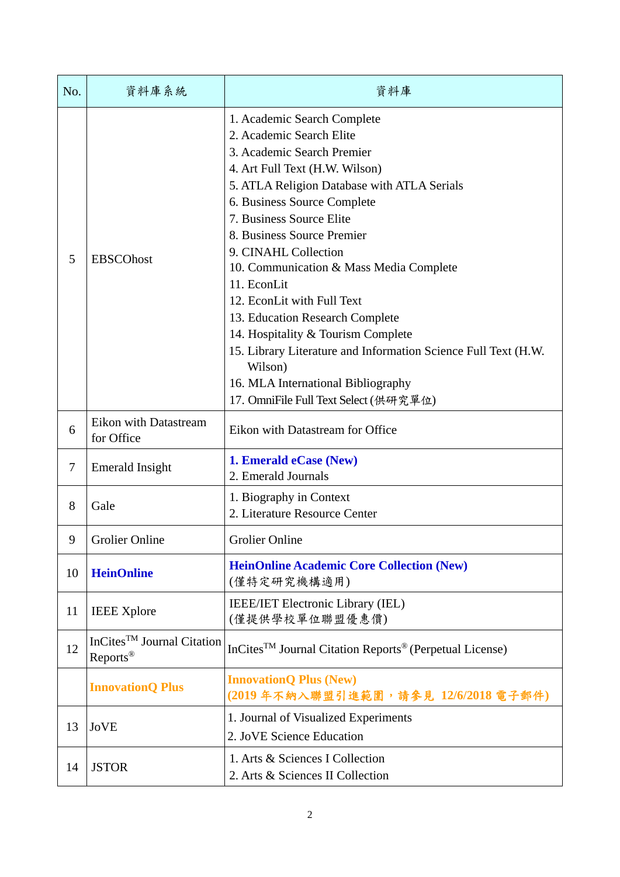| No.    | 資料庫系統                                                          | 資料庫                                                                                                                                                                                                                                                                                                                                                                                                                                                                                                                                                                                                                  |
|--------|----------------------------------------------------------------|----------------------------------------------------------------------------------------------------------------------------------------------------------------------------------------------------------------------------------------------------------------------------------------------------------------------------------------------------------------------------------------------------------------------------------------------------------------------------------------------------------------------------------------------------------------------------------------------------------------------|
| 5      | <b>EBSCOhost</b>                                               | 1. Academic Search Complete<br>2. Academic Search Elite<br>3. Academic Search Premier<br>4. Art Full Text (H.W. Wilson)<br>5. ATLA Religion Database with ATLA Serials<br>6. Business Source Complete<br>7. Business Source Elite<br>8. Business Source Premier<br>9. CINAHL Collection<br>10. Communication & Mass Media Complete<br>11. EconLit<br>12. EconLit with Full Text<br>13. Education Research Complete<br>14. Hospitality & Tourism Complete<br>15. Library Literature and Information Science Full Text (H.W.<br>Wilson)<br>16. MLA International Bibliography<br>17. OmniFile Full Text Select (供研究單位) |
| 6      | <b>Eikon with Datastream</b><br>for Office                     | Eikon with Datastream for Office                                                                                                                                                                                                                                                                                                                                                                                                                                                                                                                                                                                     |
| $\tau$ | <b>Emerald Insight</b>                                         | 1. Emerald eCase (New)<br>2. Emerald Journals                                                                                                                                                                                                                                                                                                                                                                                                                                                                                                                                                                        |
| 8      | Gale                                                           | 1. Biography in Context<br>2. Literature Resource Center                                                                                                                                                                                                                                                                                                                                                                                                                                                                                                                                                             |
| 9      | <b>Grolier Online</b>                                          | <b>Grolier Online</b>                                                                                                                                                                                                                                                                                                                                                                                                                                                                                                                                                                                                |
| 10     | <b>HeinOnline</b>                                              | <b>HeinOnline Academic Core Collection (New)</b><br>(僅特定研究機構適用)                                                                                                                                                                                                                                                                                                                                                                                                                                                                                                                                                      |
| 11     | <b>IEEE</b> Xplore                                             | <b>IEEE/IET Electronic Library (IEL)</b><br>(僅提供學校單位聯盟優惠價)                                                                                                                                                                                                                                                                                                                                                                                                                                                                                                                                                           |
| 12     | InCites <sup>TM</sup> Journal Citation<br>Reports <sup>®</sup> | InCites <sup>™</sup> Journal Citation Reports <sup>®</sup> (Perpetual License)                                                                                                                                                                                                                                                                                                                                                                                                                                                                                                                                       |
|        | <b>InnovationQ Plus</b>                                        | <b>InnovationQ Plus (New)</b><br>(2019年不納入聯盟引進範圍,請參見 12/6/2018 電子郵件)                                                                                                                                                                                                                                                                                                                                                                                                                                                                                                                                                 |
| 13     | <b>JoVE</b>                                                    | 1. Journal of Visualized Experiments<br>2. JoVE Science Education                                                                                                                                                                                                                                                                                                                                                                                                                                                                                                                                                    |
| 14     | <b>JSTOR</b>                                                   | 1. Arts & Sciences I Collection<br>2. Arts & Sciences II Collection                                                                                                                                                                                                                                                                                                                                                                                                                                                                                                                                                  |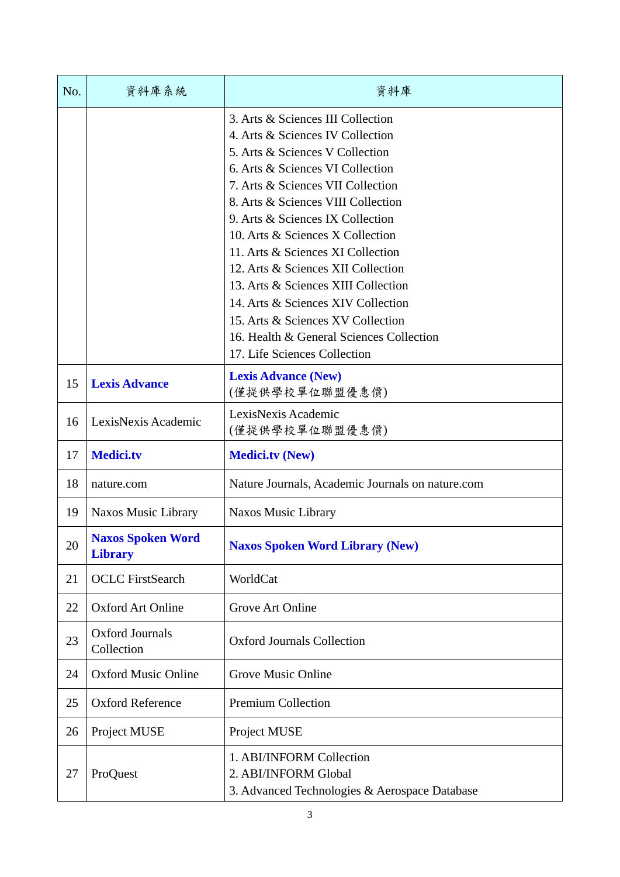| No. | 資料庫系統                                      | 資料庫                                                                                                                                                                                                                                                                                                                                                                                                                                                                                                                                                                      |
|-----|--------------------------------------------|--------------------------------------------------------------------------------------------------------------------------------------------------------------------------------------------------------------------------------------------------------------------------------------------------------------------------------------------------------------------------------------------------------------------------------------------------------------------------------------------------------------------------------------------------------------------------|
|     |                                            | 3. Arts & Sciences III Collection<br>4. Arts & Sciences IV Collection<br>5. Arts & Sciences V Collection<br>6. Arts & Sciences VI Collection<br>7. Arts & Sciences VII Collection<br>8. Arts & Sciences VIII Collection<br>9. Arts & Sciences IX Collection<br>10. Arts & Sciences X Collection<br>11. Arts & Sciences XI Collection<br>12. Arts & Sciences XII Collection<br>13. Arts & Sciences XIII Collection<br>14. Arts & Sciences XIV Collection<br>15. Arts & Sciences XV Collection<br>16. Health & General Sciences Collection<br>17. Life Sciences Collection |
| 15  | <b>Lexis Advance</b>                       | <b>Lexis Advance (New)</b><br>(僅提供學校單位聯盟優惠價)                                                                                                                                                                                                                                                                                                                                                                                                                                                                                                                             |
| 16  | LexisNexis Academic                        | LexisNexis Academic<br>(僅提供學校單位聯盟優惠價)                                                                                                                                                                                                                                                                                                                                                                                                                                                                                                                                    |
| 17  | <b>Medici.tv</b>                           | <b>Medici.tv (New)</b>                                                                                                                                                                                                                                                                                                                                                                                                                                                                                                                                                   |
| 18  | nature.com                                 | Nature Journals, Academic Journals on nature.com                                                                                                                                                                                                                                                                                                                                                                                                                                                                                                                         |
| 19  | Naxos Music Library                        | <b>Naxos Music Library</b>                                                                                                                                                                                                                                                                                                                                                                                                                                                                                                                                               |
| 20  | <b>Naxos Spoken Word</b><br><b>Library</b> | <b>Naxos Spoken Word Library (New)</b>                                                                                                                                                                                                                                                                                                                                                                                                                                                                                                                                   |
| 21  | <b>OCLC</b> FirstSearch                    | WorldCat                                                                                                                                                                                                                                                                                                                                                                                                                                                                                                                                                                 |
| 22  | <b>Oxford Art Online</b>                   | Grove Art Online                                                                                                                                                                                                                                                                                                                                                                                                                                                                                                                                                         |
| 23  | Oxford Journals<br>Collection              | <b>Oxford Journals Collection</b>                                                                                                                                                                                                                                                                                                                                                                                                                                                                                                                                        |
| 24  | <b>Oxford Music Online</b>                 | <b>Grove Music Online</b>                                                                                                                                                                                                                                                                                                                                                                                                                                                                                                                                                |
| 25  | <b>Oxford Reference</b>                    | <b>Premium Collection</b>                                                                                                                                                                                                                                                                                                                                                                                                                                                                                                                                                |
| 26  | Project MUSE                               | Project MUSE                                                                                                                                                                                                                                                                                                                                                                                                                                                                                                                                                             |
| 27  | ProQuest                                   | 1. ABI/INFORM Collection<br>2. ABI/INFORM Global<br>3. Advanced Technologies & Aerospace Database                                                                                                                                                                                                                                                                                                                                                                                                                                                                        |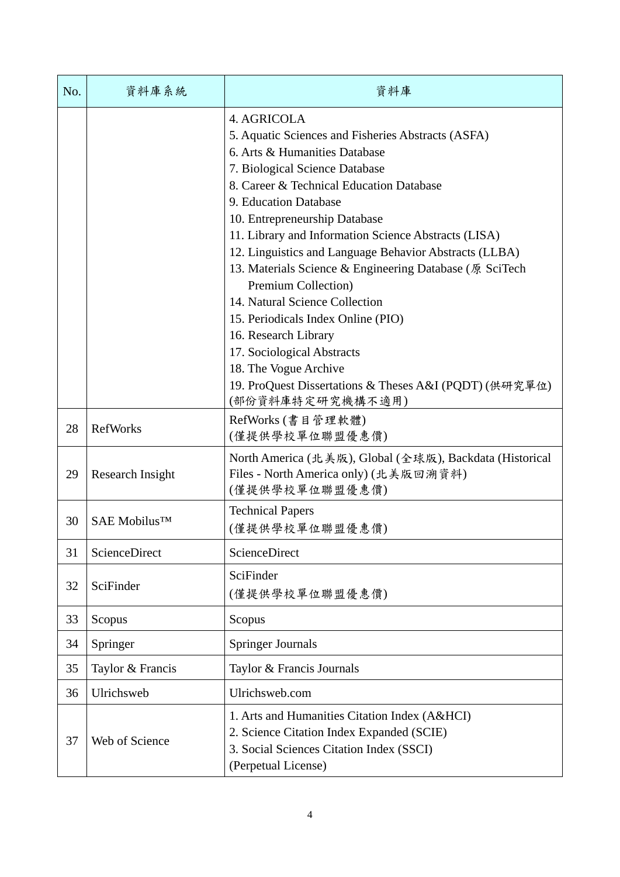| No. | 資料庫系統                    | 資料庫                                                                                                                                                                                                                                                                                                                                                                                                                                                                                                                                                                                                                                                                                 |
|-----|--------------------------|-------------------------------------------------------------------------------------------------------------------------------------------------------------------------------------------------------------------------------------------------------------------------------------------------------------------------------------------------------------------------------------------------------------------------------------------------------------------------------------------------------------------------------------------------------------------------------------------------------------------------------------------------------------------------------------|
|     |                          | 4. AGRICOLA<br>5. Aquatic Sciences and Fisheries Abstracts (ASFA)<br>6. Arts & Humanities Database<br>7. Biological Science Database<br>8. Career & Technical Education Database<br>9. Education Database<br>10. Entrepreneurship Database<br>11. Library and Information Science Abstracts (LISA)<br>12. Linguistics and Language Behavior Abstracts (LLBA)<br>13. Materials Science & Engineering Database (原 SciTech<br>Premium Collection)<br>14. Natural Science Collection<br>15. Periodicals Index Online (PIO)<br>16. Research Library<br>17. Sociological Abstracts<br>18. The Vogue Archive<br>19. ProQuest Dissertations & Theses A&I (PQDT) (供研究單位)<br>(部份資料庫特定研究機構不適用) |
| 28  | <b>RefWorks</b>          | RefWorks (書目管理軟體)<br>(僅提供學校單位聯盟優惠價)                                                                                                                                                                                                                                                                                                                                                                                                                                                                                                                                                                                                                                                 |
| 29  | Research Insight         | North America (北美版), Global (全球版), Backdata (Historical<br>Files - North America only) (北美版回溯資料)<br>(僅提供學校單位聯盟優惠價)                                                                                                                                                                                                                                                                                                                                                                                                                                                                                                                                                                  |
| 30  | SAE Mobilus <sup>™</sup> | <b>Technical Papers</b><br>(僅提供學校單位聯盟優惠價)                                                                                                                                                                                                                                                                                                                                                                                                                                                                                                                                                                                                                                           |
| 31  | ScienceDirect            | ScienceDirect                                                                                                                                                                                                                                                                                                                                                                                                                                                                                                                                                                                                                                                                       |
| 32  | SciFinder                | SciFinder<br>(僅提供學校單位聯盟優惠價)                                                                                                                                                                                                                                                                                                                                                                                                                                                                                                                                                                                                                                                         |
| 33  | Scopus                   | Scopus                                                                                                                                                                                                                                                                                                                                                                                                                                                                                                                                                                                                                                                                              |
| 34  | Springer                 | <b>Springer Journals</b>                                                                                                                                                                                                                                                                                                                                                                                                                                                                                                                                                                                                                                                            |
| 35  | Taylor & Francis         | Taylor & Francis Journals                                                                                                                                                                                                                                                                                                                                                                                                                                                                                                                                                                                                                                                           |
| 36  | Ulrichsweb               | Ulrichsweb.com                                                                                                                                                                                                                                                                                                                                                                                                                                                                                                                                                                                                                                                                      |
| 37  | Web of Science           | 1. Arts and Humanities Citation Index (A&HCI)<br>2. Science Citation Index Expanded (SCIE)<br>3. Social Sciences Citation Index (SSCI)<br>(Perpetual License)                                                                                                                                                                                                                                                                                                                                                                                                                                                                                                                       |